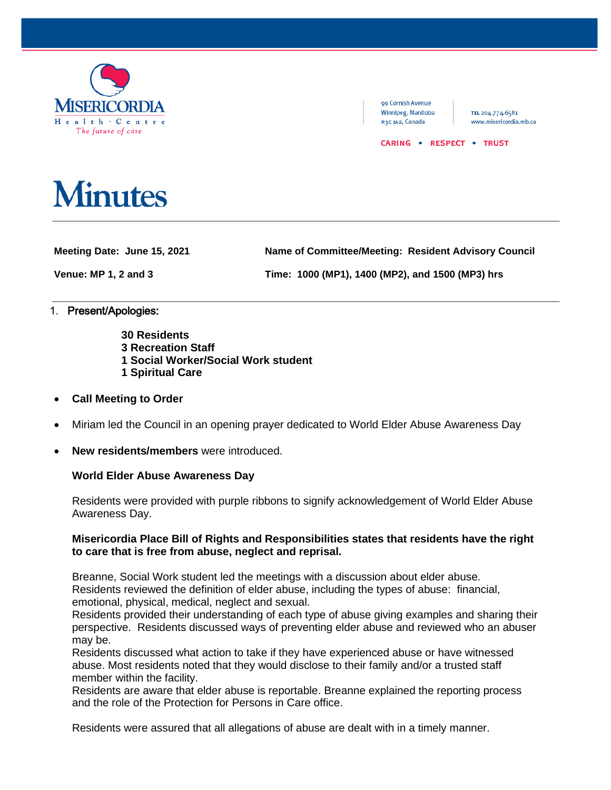

99 Cornish Avenue Winnipeg, Manitoba R3C 1A2, Canada

TEL 204.774.6581 www.misericordia.mb.ca

#### CARING . RESPECT . TRUST

# **Minutes**

**Meeting Date: June 15, 2021 Name of Committee/Meeting: Resident Advisory Council**

**Venue: MP 1, 2 and 3 Time: 1000 (MP1), 1400 (MP2), and 1500 (MP3) hrs**

### 1. Present/Apologies:

- **30 Residents**
- **3 Recreation Staff**
- **1 Social Worker/Social Work student**
- **1 Spiritual Care**
- **Call Meeting to Order**
- Miriam led the Council in an opening prayer dedicated to World Elder Abuse Awareness Day
- **New residents/members** were introduced.

# **World Elder Abuse Awareness Day**

Residents were provided with purple ribbons to signify acknowledgement of World Elder Abuse Awareness Day.

# **Misericordia Place Bill of Rights and Responsibilities states that residents have the right to care that is free from abuse, neglect and reprisal.**

Breanne, Social Work student led the meetings with a discussion about elder abuse. Residents reviewed the definition of elder abuse, including the types of abuse: financial, emotional, physical, medical, neglect and sexual.

Residents provided their understanding of each type of abuse giving examples and sharing their perspective. Residents discussed ways of preventing elder abuse and reviewed who an abuser may be.

Residents discussed what action to take if they have experienced abuse or have witnessed abuse. Most residents noted that they would disclose to their family and/or a trusted staff member within the facility.

Residents are aware that elder abuse is reportable. Breanne explained the reporting process and the role of the Protection for Persons in Care office.

Residents were assured that all allegations of abuse are dealt with in a timely manner.